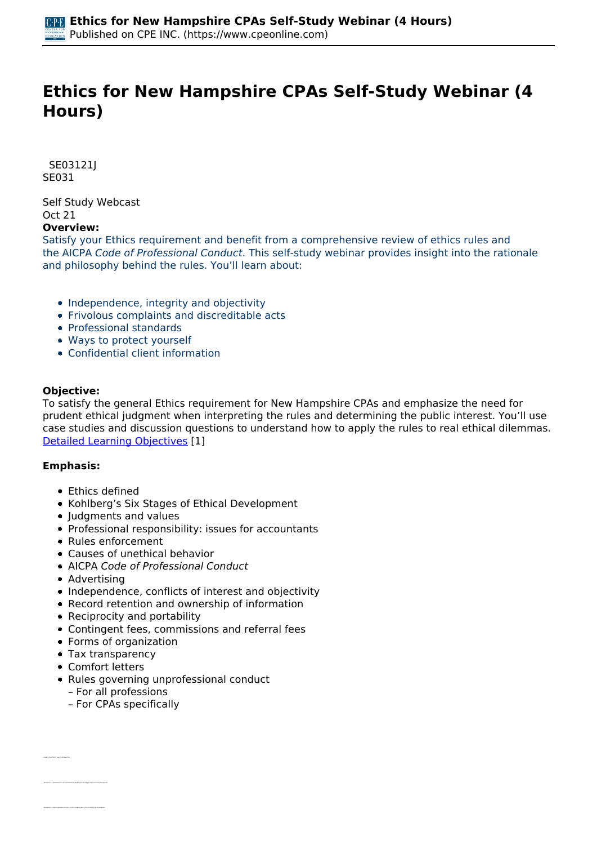# **Ethics for New Hampshire CPAs Self-Study Webinar (4 Hours)**

 *SE03121J SE031* 

*Self Study Webcast Oct 21* 

# **Overview:**

*Satisfy your Ethics requirement and benefit from a comprehensive review of ethics rules and the AICPA Code of Professional Conduct. This self-study webinar provides insight into the rationale and philosophy behind the rules. You'll learn about:*

- *Independence, integrity and objectivity*
- *Frivolous complaints and discreditable acts*
- *Professional standards*
- *Ways to protect yourself*
- *Confidential client information*

## **Objective:**

*To satisfy the general Ethics requirement for New Hampshire CPAs and emphasize the need for prudent ethical judgment when interpreting the rules and determining the public interest. You'll use case studies and discussion questions to understand how to apply the rules to real ethical dilemmas. [Detailed Learning Objectives](https://www.cpeonline.com/JavaScript:showObjectivesPopup();) [1]*

## **Emphasis:**

- *Ethics defined*
- *Kohlberg's Six Stages of Ethical Development*
- *Judgments and values*
- *Professional responsibility: issues for accountants*
- *Rules enforcement*
- *Causes of unethical behavior*
- *AICPA Code of Professional Conduct*
- *Advertising*
- *Independence, conflicts of interest and objectivity*
- *Record retention and ownership of information*
- *Reciprocity and portability*
- *Contingent fees, commissions and referral fees*
- *Forms of organization*
- *Tax transparency*
- *Comfort letters*

*• Recognize the motivations for ethical behavior as identified in Kohlberg's stages of moral development*

- *Rules governing unprofessional conduct*
	- *For all professions*
	- *For CPAs specifically*